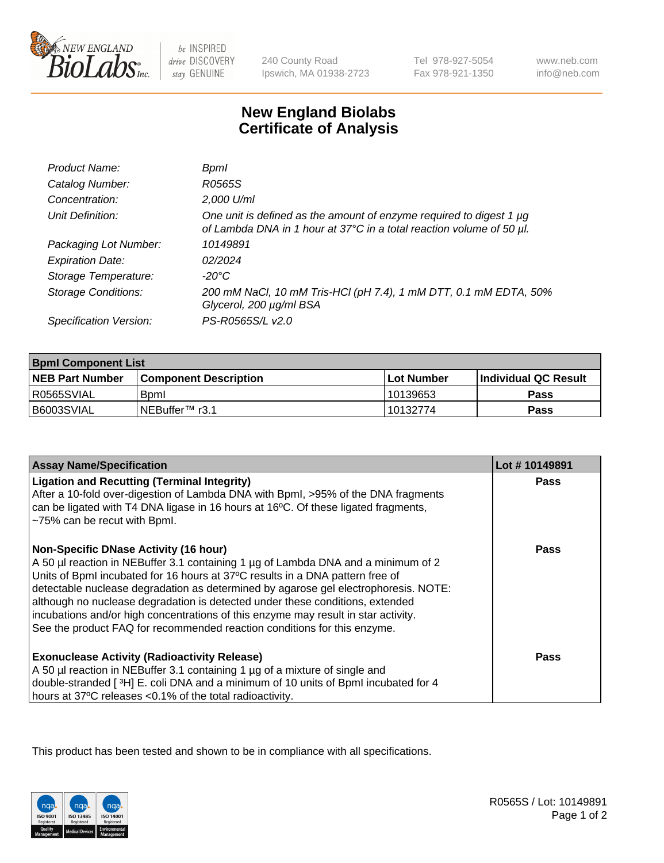

 $be$  INSPIRED drive DISCOVERY stay GENUINE

240 County Road Ipswich, MA 01938-2723 Tel 978-927-5054 Fax 978-921-1350

www.neb.com info@neb.com

## **New England Biolabs Certificate of Analysis**

| Product Name:           | Bpml                                                                                                                                             |
|-------------------------|--------------------------------------------------------------------------------------------------------------------------------------------------|
| Catalog Number:         | R0565S                                                                                                                                           |
| Concentration:          | 2,000 U/ml                                                                                                                                       |
| Unit Definition:        | One unit is defined as the amount of enzyme required to digest 1 $\mu$ g<br>of Lambda DNA in 1 hour at 37°C in a total reaction volume of 50 µl. |
| Packaging Lot Number:   | 10149891                                                                                                                                         |
| <b>Expiration Date:</b> | 02/2024                                                                                                                                          |
| Storage Temperature:    | -20°C                                                                                                                                            |
| Storage Conditions:     | 200 mM NaCl, 10 mM Tris-HCl (pH 7.4), 1 mM DTT, 0.1 mM EDTA, 50%<br>Glycerol, 200 µg/ml BSA                                                      |
| Specification Version:  | PS-R0565S/L v2.0                                                                                                                                 |

| <b>Bpml Component List</b> |                              |              |                             |  |
|----------------------------|------------------------------|--------------|-----------------------------|--|
| <b>NEB Part Number</b>     | <b>Component Description</b> | l Lot Number | <b>Individual QC Result</b> |  |
| R0565SVIAL                 | <b>B</b> <sub>pm</sub>       | 10139653     | Pass                        |  |
| B6003SVIAL                 | INEBuffer™ r3.1              | 10132774     | Pass                        |  |

| <b>Assay Name/Specification</b>                                                                                                                                                                                                                                                                                                                                                                                                                                                                                                                              | Lot #10149891 |
|--------------------------------------------------------------------------------------------------------------------------------------------------------------------------------------------------------------------------------------------------------------------------------------------------------------------------------------------------------------------------------------------------------------------------------------------------------------------------------------------------------------------------------------------------------------|---------------|
| <b>Ligation and Recutting (Terminal Integrity)</b><br>After a 10-fold over-digestion of Lambda DNA with Bpml, >95% of the DNA fragments<br>can be ligated with T4 DNA ligase in 16 hours at 16°C. Of these ligated fragments,<br>~75% can be recut with Bpml.                                                                                                                                                                                                                                                                                                | <b>Pass</b>   |
| <b>Non-Specific DNase Activity (16 hour)</b><br>A 50 µl reaction in NEBuffer 3.1 containing 1 µg of Lambda DNA and a minimum of 2<br>Units of BpmI incubated for 16 hours at 37°C results in a DNA pattern free of<br>detectable nuclease degradation as determined by agarose gel electrophoresis. NOTE:<br>although no nuclease degradation is detected under these conditions, extended<br>incubations and/or high concentrations of this enzyme may result in star activity.<br>See the product FAQ for recommended reaction conditions for this enzyme. | Pass          |
| <b>Exonuclease Activity (Radioactivity Release)</b><br>A 50 µl reaction in NEBuffer 3.1 containing 1 µg of a mixture of single and<br>double-stranded [3H] E. coli DNA and a minimum of 10 units of BpmI incubated for 4<br>hours at 37°C releases <0.1% of the total radioactivity.                                                                                                                                                                                                                                                                         | Pass          |

This product has been tested and shown to be in compliance with all specifications.